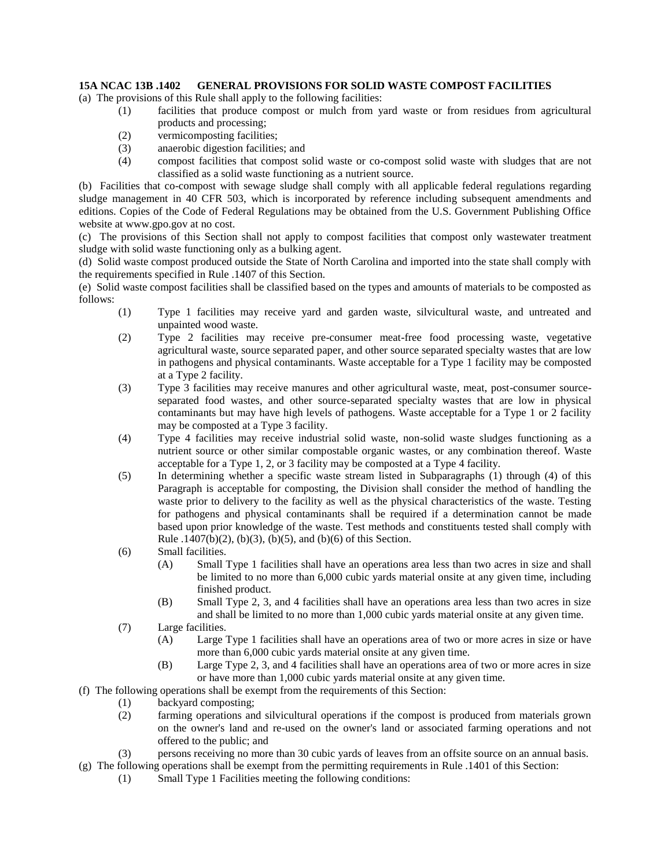## **15A NCAC 13B .1402 GENERAL PROVISIONS FOR SOLID WASTE COMPOST FACILITIES**

(a) The provisions of this Rule shall apply to the following facilities:

- (1) facilities that produce compost or mulch from yard waste or from residues from agricultural products and processing;
- (2) vermicomposting facilities;
- (3) anaerobic digestion facilities; and
- (4) compost facilities that compost solid waste or co-compost solid waste with sludges that are not classified as a solid waste functioning as a nutrient source.

(b) Facilities that co-compost with sewage sludge shall comply with all applicable federal regulations regarding sludge management in 40 CFR 503, which is incorporated by reference including subsequent amendments and editions. Copies of the Code of Federal Regulations may be obtained from the U.S. Government Publishing Office website at www.gpo.gov at no cost.

(c) The provisions of this Section shall not apply to compost facilities that compost only wastewater treatment sludge with solid waste functioning only as a bulking agent.

(d) Solid waste compost produced outside the State of North Carolina and imported into the state shall comply with the requirements specified in Rule .1407 of this Section.

(e) Solid waste compost facilities shall be classified based on the types and amounts of materials to be composted as follows:

- (1) Type 1 facilities may receive yard and garden waste, silvicultural waste, and untreated and unpainted wood waste.
- (2) Type 2 facilities may receive pre-consumer meat-free food processing waste, vegetative agricultural waste, source separated paper, and other source separated specialty wastes that are low in pathogens and physical contaminants. Waste acceptable for a Type 1 facility may be composted at a Type 2 facility.
- (3) Type 3 facilities may receive manures and other agricultural waste, meat, post-consumer sourceseparated food wastes, and other source-separated specialty wastes that are low in physical contaminants but may have high levels of pathogens. Waste acceptable for a Type 1 or 2 facility may be composted at a Type 3 facility.
- (4) Type 4 facilities may receive industrial solid waste, non-solid waste sludges functioning as a nutrient source or other similar compostable organic wastes, or any combination thereof. Waste acceptable for a Type 1, 2, or 3 facility may be composted at a Type 4 facility.
- (5) In determining whether a specific waste stream listed in Subparagraphs (1) through (4) of this Paragraph is acceptable for composting, the Division shall consider the method of handling the waste prior to delivery to the facility as well as the physical characteristics of the waste. Testing for pathogens and physical contaminants shall be required if a determination cannot be made based upon prior knowledge of the waste. Test methods and constituents tested shall comply with Rule .1407(b)(2), (b)(3), (b)(5), and (b)(6) of this Section.
- (6) Small facilities.
	- (A) Small Type 1 facilities shall have an operations area less than two acres in size and shall be limited to no more than 6,000 cubic yards material onsite at any given time, including finished product.
	- (B) Small Type 2, 3, and 4 facilities shall have an operations area less than two acres in size and shall be limited to no more than 1,000 cubic yards material onsite at any given time.
- (7) Large facilities.
	- (A) Large Type 1 facilities shall have an operations area of two or more acres in size or have more than 6,000 cubic yards material onsite at any given time.
	- (B) Large Type 2, 3, and 4 facilities shall have an operations area of two or more acres in size or have more than 1,000 cubic yards material onsite at any given time.
- (f) The following operations shall be exempt from the requirements of this Section:
	- (1) backyard composting;
	- (2) farming operations and silvicultural operations if the compost is produced from materials grown on the owner's land and re-used on the owner's land or associated farming operations and not offered to the public; and
	- (3) persons receiving no more than 30 cubic yards of leaves from an offsite source on an annual basis.
- (g) The following operations shall be exempt from the permitting requirements in Rule .1401 of this Section:
	- (1) Small Type 1 Facilities meeting the following conditions: